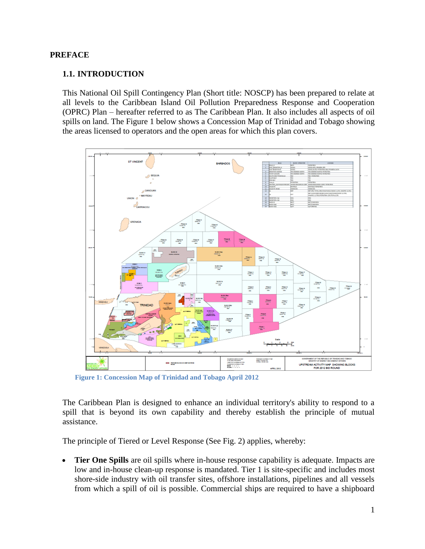#### **PREFACE**

#### **1.1. INTRODUCTION**

This National Oil Spill Contingency Plan (Short title: NOSCP) has been prepared to relate at all levels to the Caribbean Island Oil Pollution Preparedness Response and Cooperation (OPRC) Plan – hereafter referred to as The Caribbean Plan. It also includes all aspects of oil spills on land. The Figure 1 below shows a Concession Map of Trinidad and Tobago showing the areas licensed to operators and the open areas for which this plan covers.



**Figure 1: Concession Map of Trinidad and Tobago April 2012**

The Caribbean Plan is designed to enhance an individual territory's ability to respond to a spill that is beyond its own capability and thereby establish the principle of mutual assistance.

The principle of Tiered or Level Response (See Fig. 2) applies, whereby:

 **Tier One Spills** are oil spills where in-house response capability is adequate. Impacts are low and in-house clean-up response is mandated. Tier 1 is site-specific and includes most shore-side industry with oil transfer sites, offshore installations, pipelines and all vessels from which a spill of oil is possible. Commercial ships are required to have a shipboard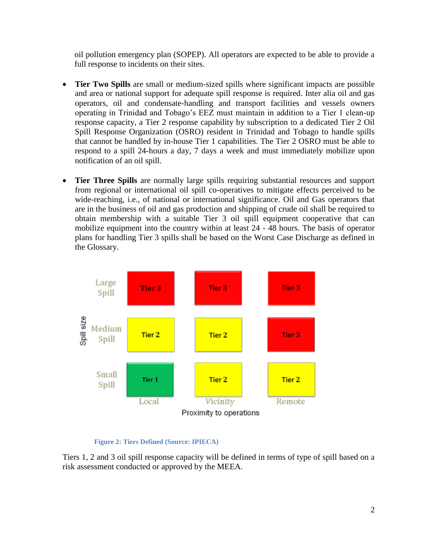oil pollution emergency plan (SOPEP). All operators are expected to be able to provide a full response to incidents on their sites.

- **Tier Two Spills** are small or medium-sized spills where significant impacts are possible and area or national support for adequate spill response is required. Inter alia oil and gas operators, oil and condensate-handling and transport facilities and vessels owners operating in Trinidad and Tobago's EEZ must maintain in addition to a Tier 1 clean-up response capacity, a Tier 2 response capability by subscription to a dedicated Tier 2 Oil Spill Response Organization (OSRO) resident in Trinidad and Tobago to handle spills that cannot be handled by in-house Tier 1 capabilities. The Tier 2 OSRO must be able to respond to a spill 24-hours a day, 7 days a week and must immediately mobilize upon notification of an oil spill.
- **Tier Three Spills** are normally large spills requiring substantial resources and support from regional or international oil spill co-operatives to mitigate effects perceived to be wide-reaching, i.e., of national or international significance. Oil and Gas operators that are in the business of oil and gas production and shipping of crude oil shall be required to obtain membership with a suitable Tier 3 oil spill equipment cooperative that can mobilize equipment into the country within at least 24 - 48 hours. The basis of operator plans for handling Tier 3 spills shall be based on the Worst Case Discharge as defined in the Glossary.



#### **Figure 2: Tiers Defined (Source: IPIECA)**

Tiers 1, 2 and 3 oil spill response capacity will be defined in terms of type of spill based on a risk assessment conducted or approved by the MEEA.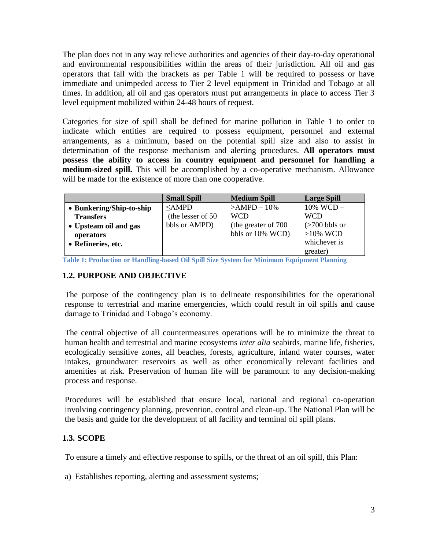The plan does not in any way relieve authorities and agencies of their day-to-day operational and environmental responsibilities within the areas of their jurisdiction. All oil and gas operators that fall with the brackets as per Table 1 will be required to possess or have immediate and unimpeded access to Tier 2 level equipment in Trinidad and Tobago at all times. In addition, all oil and gas operators must put arrangements in place to access Tier 3 level equipment mobilized within 24-48 hours of request.

Categories for size of spill shall be defined for marine pollution in Table 1 to order to indicate which entities are required to possess equipment, personnel and external arrangements, as a minimum, based on the potential spill size and also to assist in determination of the response mechanism and alerting procedures. **All operators must possess the ability to access in country equipment and personnel for handling a medium-sized spill.** This will be accomplished by a co-operative mechanism. Allowance will be made for the existence of more than one cooperative.

|                          | <b>Small Spill</b> | <b>Medium Spill</b>  | <b>Large Spill</b>                    |
|--------------------------|--------------------|----------------------|---------------------------------------|
| • Bunkering/Ship-to-ship | $\leq$ AMPD        | $>AMPD - 10\%$       | $10\%$ WCD $-$                        |
| <b>Transfers</b>         | (the lesser of 50) | <b>WCD</b>           | <b>WCD</b>                            |
| • Upsteam oil and gas    | bbls or AMPD)      | (the greater of 700) | $\left( >700 \text{ bbls or} \right)$ |
| operators                |                    | bbls or 10% WCD)     | $>10\%$ WCD                           |
| • Refineries, etc.       |                    |                      | whichever is                          |
|                          |                    |                      | greater)                              |

**Table 1: Production or Handling-based Oil Spill Size System for Minimum Equipment Planning** 

#### **1.2. PURPOSE AND OBJECTIVE**

The purpose of the contingency plan is to delineate responsibilities for the operational response to terrestrial and marine emergencies, which could result in oil spills and cause damage to Trinidad and Tobago's economy.

The central objective of all countermeasures operations will be to minimize the threat to human health and terrestrial and marine ecosystems *inter alia* seabirds, marine life, fisheries, ecologically sensitive zones, all beaches, forests, agriculture, inland water courses, water intakes, groundwater reservoirs as well as other economically relevant facilities and amenities at risk. Preservation of human life will be paramount to any decision-making process and response.

Procedures will be established that ensure local, national and regional co-operation involving contingency planning, prevention, control and clean-up. The National Plan will be the basis and guide for the development of all facility and terminal oil spill plans.

#### **1.3. SCOPE**

To ensure a timely and effective response to spills, or the threat of an oil spill, this Plan:

a) Establishes reporting, alerting and assessment systems;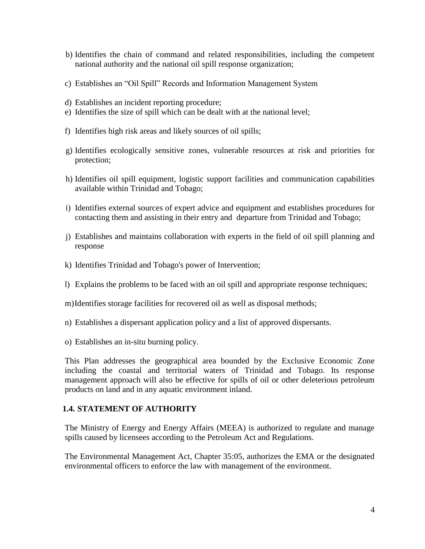- b) Identifies the chain of command and related responsibilities, including the competent national authority and the national oil spill response organization;
- c) Establishes an "Oil Spill" Records and Information Management System
- d) Establishes an incident reporting procedure;
- e) Identifies the size of spill which can be dealt with at the national level;
- f) Identifies high risk areas and likely sources of oil spills;
- g) Identifies ecologically sensitive zones, vulnerable resources at risk and priorities for protection;
- h) Identifies oil spill equipment, logistic support facilities and communication capabilities available within Trinidad and Tobago;
- i) Identifies external sources of expert advice and equipment and establishes procedures for contacting them and assisting in their entry and departure from Trinidad and Tobago;
- j) Establishes and maintains collaboration with experts in the field of oil spill planning and response
- k) Identifies Trinidad and Tobago's power of Intervention;
- l) Explains the problems to be faced with an oil spill and appropriate response techniques;
- m)Identifies storage facilities for recovered oil as well as disposal methods;
- n) Establishes a dispersant application policy and a list of approved dispersants.
- o) Establishes an in-situ burning policy.

This Plan addresses the geographical area bounded by the Exclusive Economic Zone including the coastal and territorial waters of Trinidad and Tobago. Its response management approach will also be effective for spills of oil or other deleterious petroleum products on land and in any aquatic environment inland.

#### **1.4. STATEMENT OF AUTHORITY**

The Ministry of Energy and Energy Affairs (MEEA) is authorized to regulate and manage spills caused by licensees according to the Petroleum Act and Regulations.

The Environmental Management Act, Chapter 35:05, authorizes the EMA or the designated environmental officers to enforce the law with management of the environment.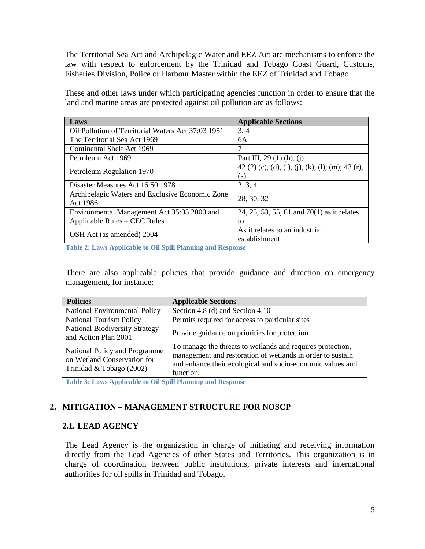The Territorial Sea Act and Archipelagic Water and EEZ Act are mechanisms to enforce the law with respect to enforcement by the Trinidad and Tobago Coast Guard, Customs, Fisheries Division, Police or Harbour Master within the EEZ of Trinidad and Tobago.

These and other laws under which participating agencies function in order to ensure that the land and marine areas are protected against oil pollution are as follows:

| Laws                                               | <b>Applicable Sections</b>                        |  |
|----------------------------------------------------|---------------------------------------------------|--|
| Oil Pollution of Territorial Waters Act 37:03 1951 | 3, 4                                              |  |
| The Territorial Sea Act 1969                       | 6A                                                |  |
| Continental Shelf Act 1969                         |                                                   |  |
| Petroleum Act 1969                                 | Part III, 29 (1) (h), (j)                         |  |
| Petroleum Regulation 1970                          | 42 (2) (c), (d), (i), (j), (k), (l), (m); 43 (r), |  |
|                                                    | (S)                                               |  |
| Disaster Measures Act 16:50 1978                   | 2, 3, 4                                           |  |
| Archipelagic Waters and Exclusive Economic Zone    | 28, 30, 32                                        |  |
| Act 1986                                           |                                                   |  |
| Environmental Management Act 35:05 2000 and        | 24, 25, 53, 55, 61 and 70(1) as it relates        |  |
| Applicable Rules – CEC Rules                       | to                                                |  |
|                                                    | As it relates to an industrial                    |  |
| OSH Act (as amended) 2004                          | establishment                                     |  |

**Table 2: Laws Applicable to Oil Spill Planning and Response**

There are also applicable policies that provide guidance and direction on emergency management, for instance:

| <b>Policies</b>                                                                          | <b>Applicable Sections</b>                                                                                                                                                                          |
|------------------------------------------------------------------------------------------|-----------------------------------------------------------------------------------------------------------------------------------------------------------------------------------------------------|
| National Environmental Policy                                                            | Section 4.8 (d) and Section 4.10                                                                                                                                                                    |
| <b>National Tourism Policy</b>                                                           | Permits required for access to particular sites                                                                                                                                                     |
| <b>National Biodiversity Strategy</b><br>and Action Plan 2001                            | Provide guidance on priorities for protection                                                                                                                                                       |
| National Policy and Programme<br>on Wetland Conservation for<br>Trinidad & Tobago (2002) | To manage the threats to wetlands and requires protection,<br>management and restoration of wetlands in order to sustain<br>and enhance their ecological and socio-economic values and<br>function. |

**Table 3: Laws Applicable to Oil Spill Planning and Response**

# **2. MITIGATION – MANAGEMENT STRUCTURE FOR NOSCP**

#### **2.1. LEAD AGENCY**

The Lead Agency is the organization in charge of initiating and receiving information directly from the Lead Agencies of other States and Territories. This organization is in charge of coordination between public institutions, private interests and international authorities for oil spills in Trinidad and Tobago.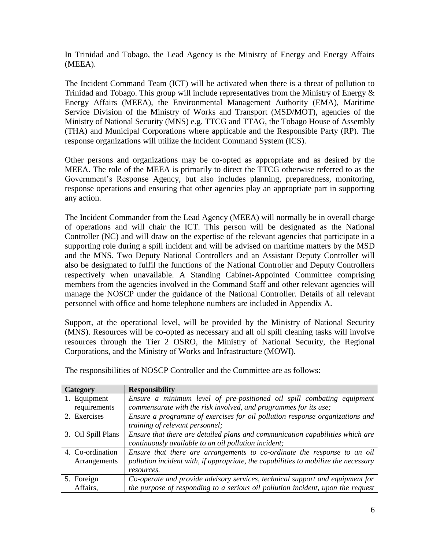In Trinidad and Tobago, the Lead Agency is the Ministry of Energy and Energy Affairs (MEEA).

The Incident Command Team (ICT) will be activated when there is a threat of pollution to Trinidad and Tobago. This group will include representatives from the Ministry of Energy & Energy Affairs (MEEA), the Environmental Management Authority (EMA), Maritime Service Division of the Ministry of Works and Transport (MSD/MOT), agencies of the Ministry of National Security (MNS) e.g. TTCG and TTAG, the Tobago House of Assembly (THA) and Municipal Corporations where applicable and the Responsible Party (RP). The response organizations will utilize the Incident Command System (ICS).

Other persons and organizations may be co-opted as appropriate and as desired by the MEEA. The role of the MEEA is primarily to direct the TTCG otherwise referred to as the Government's Response Agency, but also includes planning, preparedness, monitoring, response operations and ensuring that other agencies play an appropriate part in supporting any action.

The Incident Commander from the Lead Agency (MEEA) will normally be in overall charge of operations and will chair the ICT. This person will be designated as the National Controller (NC) and will draw on the expertise of the relevant agencies that participate in a supporting role during a spill incident and will be advised on maritime matters by the MSD and the MNS. Two Deputy National Controllers and an Assistant Deputy Controller will also be designated to fulfil the functions of the National Controller and Deputy Controllers respectively when unavailable. A Standing Cabinet-Appointed Committee comprising members from the agencies involved in the Command Staff and other relevant agencies will manage the NOSCP under the guidance of the National Controller. Details of all relevant personnel with office and home telephone numbers are included in Appendix A.

Support, at the operational level, will be provided by the Ministry of National Security (MNS). Resources will be co-opted as necessary and all oil spill cleaning tasks will involve resources through the Tier 2 OSRO, the Ministry of National Security, the Regional Corporations, and the Ministry of Works and Infrastructure (MOWI).

| Category           | <b>Responsibility</b>                                                               |
|--------------------|-------------------------------------------------------------------------------------|
| 1. Equipment       | Ensure a minimum level of pre-positioned oil spill combating equipment              |
| requirements       | commensurate with the risk involved, and programmes for its use;                    |
| 2. Exercises       | Ensure a programme of exercises for oil pollution response organizations and        |
|                    | training of relevant personnel;                                                     |
| 3. Oil Spill Plans | Ensure that there are detailed plans and communication capabilities which are       |
|                    | continuously available to an oil pollution incident;                                |
| 4. Co-ordination   | Ensure that there are arrangements to co-ordinate the response to an oil            |
| Arrangements       | pollution incident with, if appropriate, the capabilities to mobilize the necessary |
|                    | resources.                                                                          |
| 5. Foreign         | Co-operate and provide advisory services, technical support and equipment for       |
| Affairs.           | the purpose of responding to a serious oil pollution incident, upon the request     |

The responsibilities of NOSCP Controller and the Committee are as follows: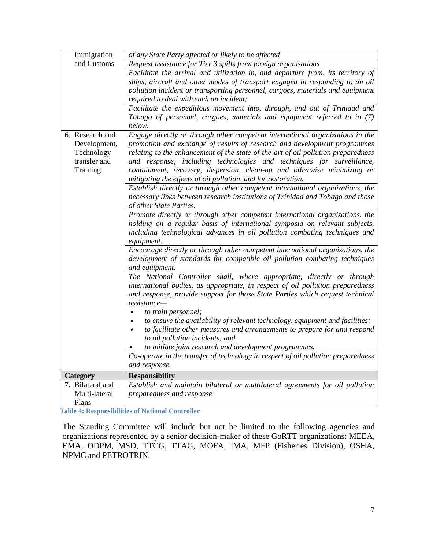| Immigration                                                               | of any State Party affected or likely to be affected                                                                                                                                                                                                                                                                                                                                                                                                                |
|---------------------------------------------------------------------------|---------------------------------------------------------------------------------------------------------------------------------------------------------------------------------------------------------------------------------------------------------------------------------------------------------------------------------------------------------------------------------------------------------------------------------------------------------------------|
| and Customs                                                               | Request assistance for Tier 3 spills from foreign organisations                                                                                                                                                                                                                                                                                                                                                                                                     |
|                                                                           | Facilitate the arrival and utilization in, and departure from, its territory of<br>ships, aircraft and other modes of transport engaged in responding to an oil<br>pollution incident or transporting personnel, cargoes, materials and equipment<br>required to deal with such an incident;                                                                                                                                                                        |
|                                                                           | Facilitate the expeditious movement into, through, and out of Trinidad and<br>Tobago of personnel, cargoes, materials and equipment referred to in (7)<br>below.                                                                                                                                                                                                                                                                                                    |
| 6. Research and<br>Development,<br>Technology<br>transfer and<br>Training | Engage directly or through other competent international organizations in the<br>promotion and exchange of results of research and development programmes<br>relating to the enhancement of the state-of-the-art of oil pollution preparedness<br>and response, including technologies and techniques for surveillance,<br>containment, recovery, dispersion, clean-up and otherwise minimizing or<br>mitigating the effects of oil pollution, and for restoration. |
|                                                                           | Establish directly or through other competent international organizations, the<br>necessary links between research institutions of Trinidad and Tobago and those<br>of other State Parties.                                                                                                                                                                                                                                                                         |
|                                                                           | Promote directly or through other competent international organizations, the<br>holding on a regular basis of international symposia on relevant subjects,<br>including technological advances in oil pollution combating techniques and<br>equipment.                                                                                                                                                                                                              |
|                                                                           | Encourage directly or through other competent international organizations, the<br>development of standards for compatible oil pollution combating techniques<br>and equipment.                                                                                                                                                                                                                                                                                      |
|                                                                           | The National Controller shall, where appropriate, directly or through<br>international bodies, as appropriate, in respect of oil pollution preparedness<br>and response, provide support for those State Parties which request technical<br>$\overline{assistance}$<br>to train personnel;                                                                                                                                                                          |
|                                                                           | to ensure the availability of relevant technology, equipment and facilities;<br>$\bullet$<br>to facilitate other measures and arrangements to prepare for and respond<br>$\bullet$<br>to oil pollution incidents; and<br>to initiate joint research and development programmes.                                                                                                                                                                                     |
|                                                                           | Co-operate in the transfer of technology in respect of oil pollution preparedness<br>and response.                                                                                                                                                                                                                                                                                                                                                                  |
| Category                                                                  | <b>Responsibility</b>                                                                                                                                                                                                                                                                                                                                                                                                                                               |
| 7. Bilateral and                                                          | Establish and maintain bilateral or multilateral agreements for oil pollution                                                                                                                                                                                                                                                                                                                                                                                       |
| Multi-lateral<br>Plans                                                    | preparedness and response                                                                                                                                                                                                                                                                                                                                                                                                                                           |

**Table 4: Responsibilities of National Controller**

The Standing Committee will include but not be limited to the following agencies and organizations represented by a senior decision-maker of these GoRTT organizations: MEEA, EMA, ODPM, MSD, TTCG, TTAG, MOFA, IMA, MFP (Fisheries Division), OSHA, NPMC and PETROTRIN.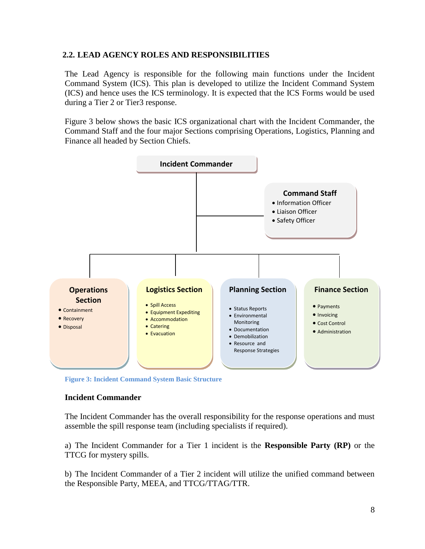## **2.2. LEAD AGENCY ROLES AND RESPONSIBILITIES**

The Lead Agency is responsible for the following main functions under the Incident Command System (ICS). This plan is developed to utilize the Incident Command System (ICS) and hence uses the ICS terminology. It is expected that the ICS Forms would be used during a Tier 2 or Tier3 response.

Figure 3 below shows the basic ICS organizational chart with the Incident Commander, the Command Staff and the four major Sections comprising Operations, Logistics, Planning and Finance all headed by Section Chiefs.



**Figure 3: Incident Command System Basic Structure**

#### **Incident Commander**

The Incident Commander has the overall responsibility for the response operations and must assemble the spill response team (including specialists if required).

a) The Incident Commander for a Tier 1 incident is the **Responsible Party (RP)** or the TTCG for mystery spills.

b) The Incident Commander of a Tier 2 incident will utilize the unified command between the Responsible Party, MEEA, and TTCG/TTAG/TTR.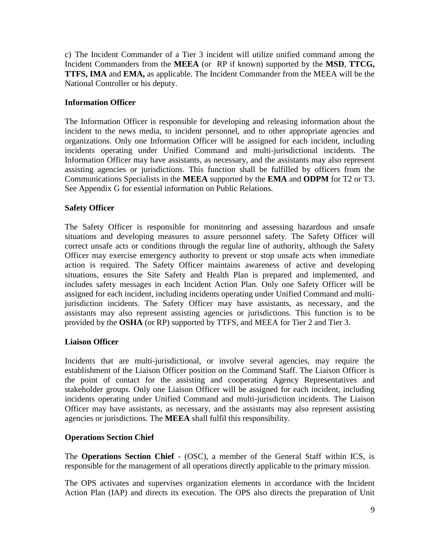c) The Incident Commander of a Tier 3 incident will utilize unified command among the Incident Commanders from the **MEEA** (or RP if known) supported by the **MSD**, **TTCG, TTFS, IMA** and **EMA,** as applicable. The Incident Commander from the MEEA will be the National Controller or his deputy.

## **Information Officer**

The Information Officer is responsible for developing and releasing information about the incident to the news media, to incident personnel, and to other appropriate agencies and organizations. Only one Information Officer will be assigned for each incident, including incidents operating under Unified Command and multi-jurisdictional incidents. The Information Officer may have assistants, as necessary, and the assistants may also represent assisting agencies or jurisdictions. This function shall be fulfilled by officers from the Communications Specialists in the **MEEA** supported by the **EMA** and **ODPM** for T2 or T3. See Appendix G for essential information on Public Relations.

# **Safety Officer**

The Safety Officer is responsible for monitoring and assessing hazardous and unsafe situations and developing measures to assure personnel safety. The Safety Officer will correct unsafe acts or conditions through the regular line of authority, although the Safety Officer may exercise emergency authority to prevent or stop unsafe acts when immediate action is required. The Safety Officer maintains awareness of active and developing situations, ensures the Site Safety and Health Plan is prepared and implemented, and includes safety messages in each Incident Action Plan. Only one Safety Officer will be assigned for each incident, including incidents operating under Unified Command and multijurisdiction incidents. The Safety Officer may have assistants, as necessary, and the assistants may also represent assisting agencies or jurisdictions. This function is to be provided by the **OSHA** (or RP) supported by TTFS, and MEEA for Tier 2 and Tier 3.

# **Liaison Officer**

Incidents that are multi-jurisdictional, or involve several agencies, may require the establishment of the Liaison Officer position on the Command Staff. The Liaison Officer is the point of contact for the assisting and cooperating Agency Representatives and stakeholder groups. Only one Liaison Officer will be assigned for each incident, including incidents operating under Unified Command and multi-jurisdiction incidents. The Liaison Officer may have assistants, as necessary, and the assistants may also represent assisting agencies or jurisdictions. The **MEEA** shall fulfil this responsibility.

## **Operations Section Chief**

The **Operations Section Chief** - (OSC), a member of the General Staff within ICS, is responsible for the management of all operations directly applicable to the primary mission.

The OPS activates and supervises organization elements in accordance with the Incident Action Plan (IAP) and directs its execution. The OPS also directs the preparation of Unit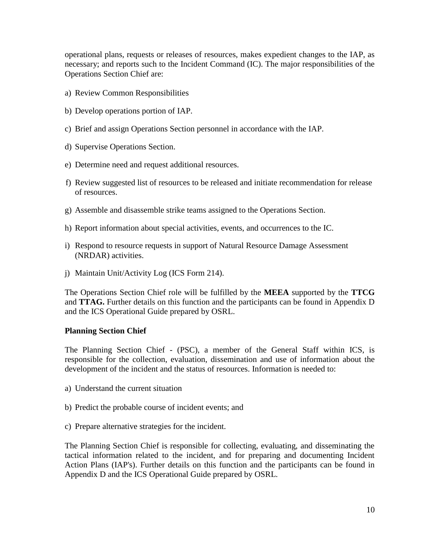operational plans, requests or releases of resources, makes expedient changes to the IAP, as necessary; and reports such to the Incident Command (IC). The major responsibilities of the Operations Section Chief are:

- a) Review Common Responsibilities
- b) Develop operations portion of IAP.
- c) Brief and assign Operations Section personnel in accordance with the IAP.
- d) Supervise Operations Section.
- e) Determine need and request additional resources.
- f) Review suggested list of resources to be released and initiate recommendation for release of resources.
- g) Assemble and disassemble strike teams assigned to the Operations Section.
- h) Report information about special activities, events, and occurrences to the IC.
- i) Respond to resource requests in support of Natural Resource Damage Assessment (NRDAR) activities.
- j) Maintain Unit/Activity Log (ICS Form 214).

The Operations Section Chief role will be fulfilled by the **MEEA** supported by the **TTCG** and **TTAG.** Further details on this function and the participants can be found in Appendix D and the ICS Operational Guide prepared by OSRL.

#### **Planning Section Chief**

The Planning Section Chief - (PSC), a member of the General Staff within ICS, is responsible for the collection, evaluation, dissemination and use of information about the development of the incident and the status of resources. Information is needed to:

- a) Understand the current situation
- b) Predict the probable course of incident events; and
- c) Prepare alternative strategies for the incident.

The Planning Section Chief is responsible for collecting, evaluating, and disseminating the tactical information related to the incident, and for preparing and documenting Incident Action Plans (IAP's). Further details on this function and the participants can be found in Appendix D and the ICS Operational Guide prepared by OSRL.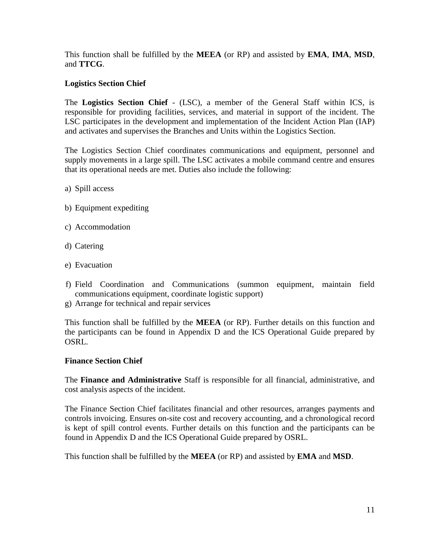This function shall be fulfilled by the **MEEA** (or RP) and assisted by **EMA**, **IMA**, **MSD**, and **TTCG**.

## **Logistics Section Chief**

The **Logistics Section Chief** - (LSC), a member of the General Staff within ICS, is responsible for providing facilities, services, and material in support of the incident. The LSC participates in the development and implementation of the Incident Action Plan (IAP) and activates and supervises the Branches and Units within the Logistics Section.

The Logistics Section Chief coordinates communications and equipment, personnel and supply movements in a large spill. The LSC activates a mobile command centre and ensures that its operational needs are met. Duties also include the following:

- a) Spill access
- b) Equipment expediting
- c) Accommodation
- d) Catering
- e) Evacuation
- f) Field Coordination and Communications (summon equipment, maintain field communications equipment, coordinate logistic support)
- g) Arrange for technical and repair services

This function shall be fulfilled by the **MEEA** (or RP). Further details on this function and the participants can be found in Appendix D and the ICS Operational Guide prepared by OSRL.

#### **Finance Section Chief**

The **Finance and Administrative** Staff is responsible for all financial, administrative, and cost analysis aspects of the incident.

The Finance Section Chief facilitates financial and other resources, arranges payments and controls invoicing. Ensures on-site cost and recovery accounting, and a chronological record is kept of spill control events. Further details on this function and the participants can be found in Appendix D and the ICS Operational Guide prepared by OSRL.

This function shall be fulfilled by the **MEEA** (or RP) and assisted by **EMA** and **MSD**.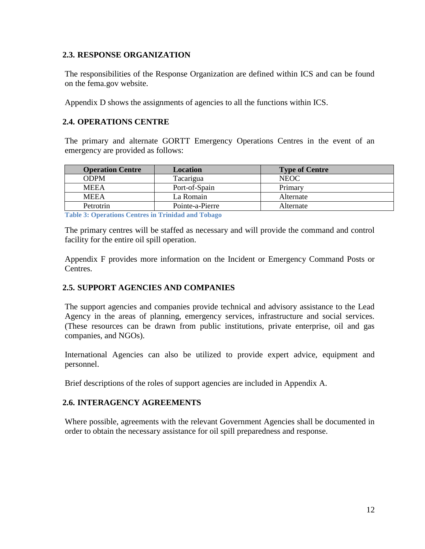#### **2.3. RESPONSE ORGANIZATION**

The responsibilities of the Response Organization are defined within ICS and can be found on the fema.gov website.

Appendix D shows the assignments of agencies to all the functions within ICS.

## **2.4. OPERATIONS CENTRE**

The primary and alternate GORTT Emergency Operations Centres in the event of an emergency are provided as follows:

| <b>Operation Centre</b> | Location        | <b>Type of Centre</b> |
|-------------------------|-----------------|-----------------------|
| <b>ODPM</b>             | Tacarigua       | <b>NEOC</b>           |
| <b>MEEA</b>             | Port-of-Spain   | Primary               |
| <b>MEEA</b>             | La Romain       | Alternate             |
| Petrotrin               | Pointe-a-Pierre | Alternate             |

**Table 3: Operations Centres in Trinidad and Tobago**

The primary centres will be staffed as necessary and will provide the command and control facility for the entire oil spill operation.

Appendix F provides more information on the Incident or Emergency Command Posts or Centres.

## **2.5. SUPPORT AGENCIES AND COMPANIES**

The support agencies and companies provide technical and advisory assistance to the Lead Agency in the areas of planning, emergency services, infrastructure and social services. (These resources can be drawn from public institutions, private enterprise, oil and gas companies, and NGOs).

International Agencies can also be utilized to provide expert advice, equipment and personnel.

Brief descriptions of the roles of support agencies are included in Appendix A.

#### **2.6. INTERAGENCY AGREEMENTS**

Where possible, agreements with the relevant Government Agencies shall be documented in order to obtain the necessary assistance for oil spill preparedness and response.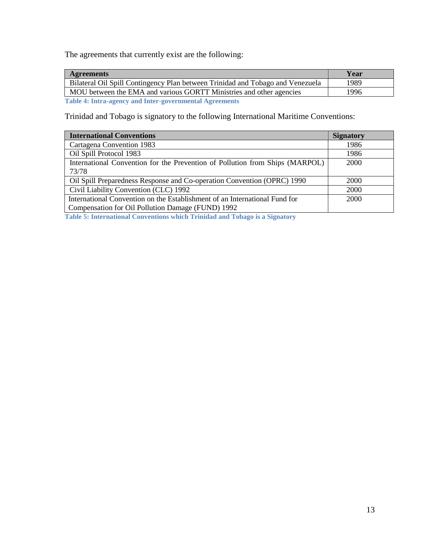The agreements that currently exist are the following:

| Year | <b>Agreements</b>                                                                                                                                                                                                              |  |
|------|--------------------------------------------------------------------------------------------------------------------------------------------------------------------------------------------------------------------------------|--|
| 1989 | Bilateral Oil Spill Contingency Plan between Trinidad and Tobago and Venezuela                                                                                                                                                 |  |
| 1996 | MOU between the EMA and various GORTT Ministries and other agencies                                                                                                                                                            |  |
|      | The klass of Lindson and account of Lindson and account and all the contracted of the second second second second second second second second second second second second second second second second second second second sec |  |

**Table 4: Intra-agency and Inter-governmental Agreements**

Trinidad and Tobago is signatory to the following International Maritime Conventions:

| <b>International Conventions</b>                                             | <b>Signatory</b> |
|------------------------------------------------------------------------------|------------------|
| Cartagena Convention 1983                                                    | 1986             |
| Oil Spill Protocol 1983                                                      | 1986             |
| International Convention for the Prevention of Pollution from Ships (MARPOL) | 2000             |
| 73/78                                                                        |                  |
| Oil Spill Preparedness Response and Co-operation Convention (OPRC) 1990      | 2000             |
| Civil Liability Convention (CLC) 1992                                        | 2000             |
| International Convention on the Establishment of an International Fund for   | 2000             |
| Compensation for Oil Pollution Damage (FUND) 1992                            |                  |

**Table 5: International Conventions which Trinidad and Tobago is a Signatory**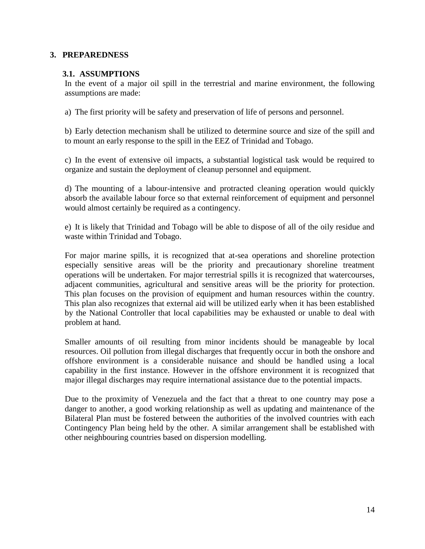#### **3. PREPAREDNESS**

#### **3.1. ASSUMPTIONS**

In the event of a major oil spill in the terrestrial and marine environment, the following assumptions are made:

a) The first priority will be safety and preservation of life of persons and personnel.

b) Early detection mechanism shall be utilized to determine source and size of the spill and to mount an early response to the spill in the EEZ of Trinidad and Tobago.

c) In the event of extensive oil impacts, a substantial logistical task would be required to organize and sustain the deployment of cleanup personnel and equipment.

d) The mounting of a labour-intensive and protracted cleaning operation would quickly absorb the available labour force so that external reinforcement of equipment and personnel would almost certainly be required as a contingency.

e) It is likely that Trinidad and Tobago will be able to dispose of all of the oily residue and waste within Trinidad and Tobago.

For major marine spills, it is recognized that at-sea operations and shoreline protection especially sensitive areas will be the priority and precautionary shoreline treatment operations will be undertaken. For major terrestrial spills it is recognized that watercourses, adjacent communities, agricultural and sensitive areas will be the priority for protection. This plan focuses on the provision of equipment and human resources within the country. This plan also recognizes that external aid will be utilized early when it has been established by the National Controller that local capabilities may be exhausted or unable to deal with problem at hand.

Smaller amounts of oil resulting from minor incidents should be manageable by local resources. Oil pollution from illegal discharges that frequently occur in both the onshore and offshore environment is a considerable nuisance and should be handled using a local capability in the first instance. However in the offshore environment it is recognized that major illegal discharges may require international assistance due to the potential impacts.

Due to the proximity of Venezuela and the fact that a threat to one country may pose a danger to another, a good working relationship as well as updating and maintenance of the Bilateral Plan must be fostered between the authorities of the involved countries with each Contingency Plan being held by the other. A similar arrangement shall be established with other neighbouring countries based on dispersion modelling.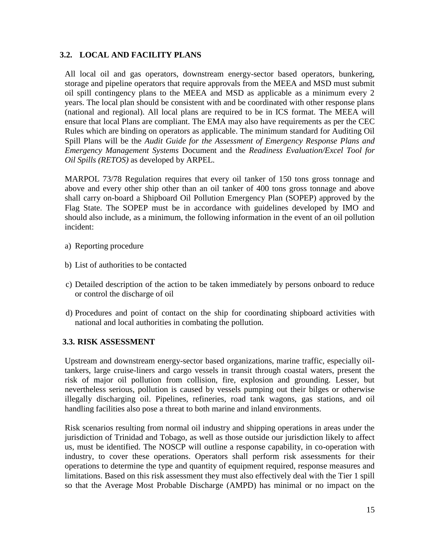## **3.2. LOCAL AND FACILITY PLANS**

All local oil and gas operators, downstream energy-sector based operators, bunkering, storage and pipeline operators that require approvals from the MEEA and MSD must submit oil spill contingency plans to the MEEA and MSD as applicable as a minimum every 2 years. The local plan should be consistent with and be coordinated with other response plans (national and regional). All local plans are required to be in ICS format. The MEEA will ensure that local Plans are compliant. The EMA may also have requirements as per the CEC Rules which are binding on operators as applicable. The minimum standard for Auditing Oil Spill Plans will be the *Audit Guide for the Assessment of Emergency Response Plans and Emergency Management Systems* Document and the *Readiness Evaluation/Excel Tool for Oil Spills (RETOS)* as developed by ARPEL.

MARPOL 73/78 Regulation requires that every oil tanker of 150 tons gross tonnage and above and every other ship other than an oil tanker of 400 tons gross tonnage and above shall carry on-board a Shipboard Oil Pollution Emergency Plan (SOPEP) approved by the Flag State. The SOPEP must be in accordance with guidelines developed by IMO and should also include, as a minimum, the following information in the event of an oil pollution incident:

- a) Reporting procedure
- b) List of authorities to be contacted
- c) Detailed description of the action to be taken immediately by persons onboard to reduce or control the discharge of oil
- d) Procedures and point of contact on the ship for coordinating shipboard activities with national and local authorities in combating the pollution.

## **3.3. RISK ASSESSMENT**

Upstream and downstream energy-sector based organizations, marine traffic, especially oiltankers, large cruise-liners and cargo vessels in transit through coastal waters, present the risk of major oil pollution from collision, fire, explosion and grounding. Lesser, but nevertheless serious, pollution is caused by vessels pumping out their bilges or otherwise illegally discharging oil. Pipelines, refineries, road tank wagons, gas stations, and oil handling facilities also pose a threat to both marine and inland environments.

Risk scenarios resulting from normal oil industry and shipping operations in areas under the jurisdiction of Trinidad and Tobago, as well as those outside our jurisdiction likely to affect us, must be identified. The NOSCP will outline a response capability, in co-operation with industry, to cover these operations. Operators shall perform risk assessments for their operations to determine the type and quantity of equipment required, response measures and limitations. Based on this risk assessment they must also effectively deal with the Tier 1 spill so that the Average Most Probable Discharge (AMPD) has minimal or no impact on the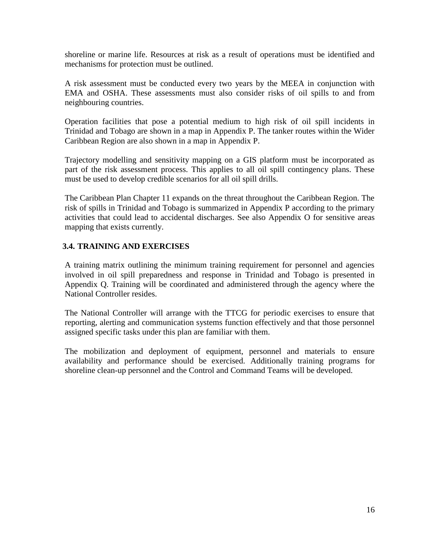shoreline or marine life. Resources at risk as a result of operations must be identified and mechanisms for protection must be outlined.

A risk assessment must be conducted every two years by the MEEA in conjunction with EMA and OSHA. These assessments must also consider risks of oil spills to and from neighbouring countries.

Operation facilities that pose a potential medium to high risk of oil spill incidents in Trinidad and Tobago are shown in a map in Appendix P. The tanker routes within the Wider Caribbean Region are also shown in a map in Appendix P.

Trajectory modelling and sensitivity mapping on a GIS platform must be incorporated as part of the risk assessment process. This applies to all oil spill contingency plans. These must be used to develop credible scenarios for all oil spill drills.

The Caribbean Plan Chapter 11 expands on the threat throughout the Caribbean Region. The risk of spills in Trinidad and Tobago is summarized in Appendix P according to the primary activities that could lead to accidental discharges. See also Appendix O for sensitive areas mapping that exists currently.

# **3.4. TRAINING AND EXERCISES**

A training matrix outlining the minimum training requirement for personnel and agencies involved in oil spill preparedness and response in Trinidad and Tobago is presented in Appendix Q. Training will be coordinated and administered through the agency where the National Controller resides.

The National Controller will arrange with the TTCG for periodic exercises to ensure that reporting, alerting and communication systems function effectively and that those personnel assigned specific tasks under this plan are familiar with them.

The mobilization and deployment of equipment, personnel and materials to ensure availability and performance should be exercised. Additionally training programs for shoreline clean-up personnel and the Control and Command Teams will be developed.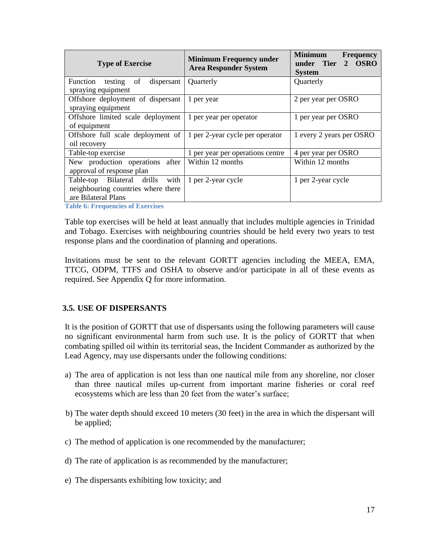| <b>Type of Exercise</b>                                                                      | <b>Minimum Frequency under</b><br><b>Area Responder System</b> | <b>Minimum</b><br><b>Frequency</b><br>under Tier<br>2 OSRO<br><b>System</b> |
|----------------------------------------------------------------------------------------------|----------------------------------------------------------------|-----------------------------------------------------------------------------|
| Function testing<br>dispersant<br>of<br>spraying equipment                                   | Quarterly                                                      | Quarterly                                                                   |
| Offshore deployment of dispersant<br>spraying equipment                                      | 1 per year                                                     | 2 per year per OSRO                                                         |
| Offshore limited scale deployment<br>of equipment                                            | 1 per year per operator                                        | 1 per year per OSRO                                                         |
| Offshore full scale deployment of $\vert$ 1 per 2-year cycle per operator<br>oil recovery    |                                                                | 1 every 2 years per OSRO                                                    |
| Table-top exercise                                                                           | 1 per year per operations centre                               | 4 per year per OSRO                                                         |
| New production operations after   Within 12 months<br>approval of response plan              |                                                                | Within 12 months                                                            |
| Table-top Bilateral drills with<br>neighbouring countries where there<br>are Bilateral Plans | 1 per 2-year cycle                                             | 1 per 2-year cycle                                                          |

**Table 6: Frequencies of Exercises**

Table top exercises will be held at least annually that includes multiple agencies in Trinidad and Tobago. Exercises with neighbouring countries should be held every two years to test response plans and the coordination of planning and operations.

Invitations must be sent to the relevant GORTT agencies including the MEEA, EMA, TTCG, ODPM, TTFS and OSHA to observe and/or participate in all of these events as required. See Appendix Q for more information.

#### **3.5. USE OF DISPERSANTS**

It is the position of GORTT that use of dispersants using the following parameters will cause no significant environmental harm from such use. It is the policy of GORTT that when combating spilled oil within its territorial seas, the Incident Commander as authorized by the Lead Agency, may use dispersants under the following conditions:

- a) The area of application is not less than one nautical mile from any shoreline, nor closer than three nautical miles up-current from important marine fisheries or coral reef ecosystems which are less than 20 feet from the water's surface;
- b) The water depth should exceed 10 meters (30 feet) in the area in which the dispersant will be applied;
- c) The method of application is one recommended by the manufacturer;
- d) The rate of application is as recommended by the manufacturer;
- e) The dispersants exhibiting low toxicity; and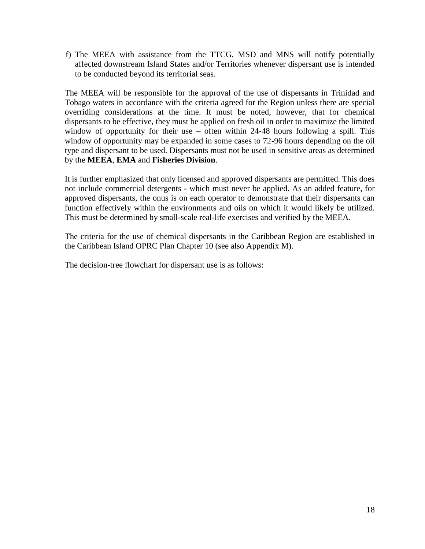f) The MEEA with assistance from the TTCG, MSD and MNS will notify potentially affected downstream Island States and/or Territories whenever dispersant use is intended to be conducted beyond its territorial seas.

The MEEA will be responsible for the approval of the use of dispersants in Trinidad and Tobago waters in accordance with the criteria agreed for the Region unless there are special overriding considerations at the time. It must be noted, however, that for chemical dispersants to be effective, they must be applied on fresh oil in order to maximize the limited window of opportunity for their use  $-$  often within 24-48 hours following a spill. This window of opportunity may be expanded in some cases to 72-96 hours depending on the oil type and dispersant to be used. Dispersants must not be used in sensitive areas as determined by the **MEEA**, **EMA** and **Fisheries Division**.

It is further emphasized that only licensed and approved dispersants are permitted. This does not include commercial detergents - which must never be applied. As an added feature, for approved dispersants, the onus is on each operator to demonstrate that their dispersants can function effectively within the environments and oils on which it would likely be utilized. This must be determined by small-scale real-life exercises and verified by the MEEA.

The criteria for the use of chemical dispersants in the Caribbean Region are established in the Caribbean Island OPRC Plan Chapter 10 (see also Appendix M).

The decision-tree flowchart for dispersant use is as follows: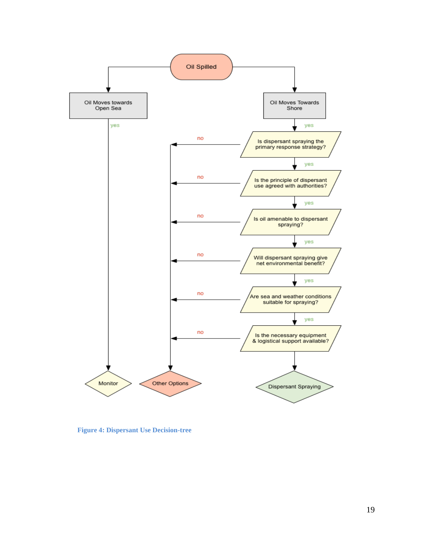

**Figure 4: Dispersant Use Decision-tree**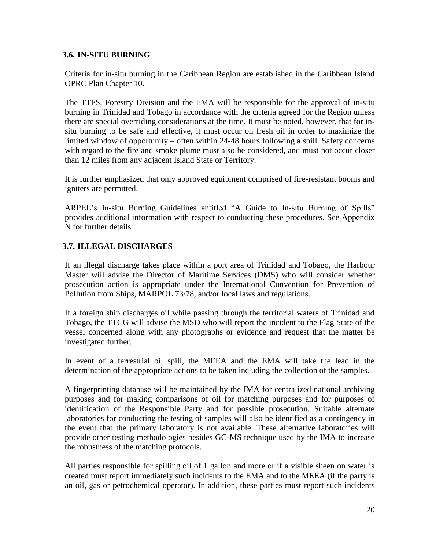## **3.6. IN-SITU BURNING**

Criteria for in-situ burning in the Caribbean Region are established in the Caribbean Island OPRC Plan Chapter 10.

The TTFS, Forestry Division and the EMA will be responsible for the approval of in-situ burning in Trinidad and Tobago in accordance with the criteria agreed for the Region unless there are special overriding considerations at the time. It must be noted, however, that for insitu burning to be safe and effective, it must occur on fresh oil in order to maximize the limited window of opportunity – often within 24-48 hours following a spill. Safety concerns with regard to the fire and smoke plume must also be considered, and must not occur closer than 12 miles from any adjacent Island State or Territory.

It is further emphasized that only approved equipment comprised of fire-resistant booms and igniters are permitted.

ARPEL's In-situ Burning Guidelines entitled "A Guide to In-situ Burning of Spills" provides additional information with respect to conducting these procedures. See Appendix N for further details.

# **3.7. ILLEGAL DISCHARGES**

If an illegal discharge takes place within a port area of Trinidad and Tobago, the Harbour Master will advise the Director of Maritime Services (DMS) who will consider whether prosecution action is appropriate under the International Convention for Prevention of Pollution from Ships, MARPOL 73/78, and/or local laws and regulations.

If a foreign ship discharges oil while passing through the territorial waters of Trinidad and Tobago, the TTCG will advise the MSD who will report the incident to the Flag State of the vessel concerned along with any photographs or evidence and request that the matter be investigated further.

In event of a terrestrial oil spill, the MEEA and the EMA will take the lead in the determination of the appropriate actions to be taken including the collection of the samples.

A fingerprinting database will be maintained by the IMA for centralized national archiving purposes and for making comparisons of oil for matching purposes and for purposes of identification of the Responsible Party and for possible prosecution. Suitable alternate laboratories for conducting the testing of samples will also be identified as a contingency in the event that the primary laboratory is not available. These alternative laboratories will provide other testing methodologies besides GC-MS technique used by the IMA to increase the robustness of the matching protocols.

All parties responsible for spilling oil of 1 gallon and more or if a visible sheen on water is created must report immediately such incidents to the EMA and to the MEEA (if the party is an oil, gas or petrochemical operator). In addition, these parties must report such incidents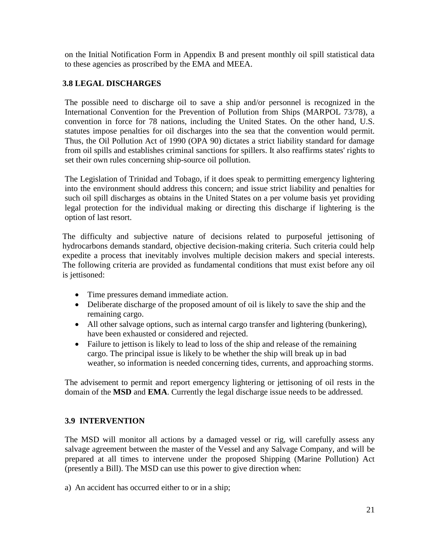on the Initial Notification Form in Appendix B and present monthly oil spill statistical data to these agencies as proscribed by the EMA and MEEA.

## **3.8 LEGAL DISCHARGES**

The possible need to discharge oil to save a ship and/or personnel is recognized in the International Convention for the Prevention of Pollution from Ships (MARPOL 73/78), a convention in force for 78 nations, including the United States. On the other hand, U.S. statutes impose penalties for oil discharges into the sea that the convention would permit. Thus, the Oil Pollution Act of 1990 (OPA 90) dictates a strict liability standard for damage from oil spills and establishes criminal sanctions for spillers. It also reaffirms states' rights to set their own rules concerning ship-source oil pollution.

The Legislation of Trinidad and Tobago, if it does speak to permitting emergency lightering into the environment should address this concern; and issue strict liability and penalties for such oil spill discharges as obtains in the United States on a per volume basis yet providing legal protection for the individual making or directing this discharge if lightering is the option of last resort.

The difficulty and subjective nature of decisions related to purposeful jettisoning of hydrocarbons demands standard, objective decision-making criteria. Such criteria could help expedite a process that inevitably involves multiple decision makers and special interests. The following criteria are provided as fundamental conditions that must exist before any oil is jettisoned:

- Time pressures demand immediate action.
- Deliberate discharge of the proposed amount of oil is likely to save the ship and the remaining cargo.
- All other salvage options, such as internal cargo transfer and lightering (bunkering), have been exhausted or considered and rejected.
- Failure to jettison is likely to lead to loss of the ship and release of the remaining cargo. The principal issue is likely to be whether the ship will break up in bad weather, so information is needed concerning tides, currents, and approaching storms.

The advisement to permit and report emergency lightering or jettisoning of oil rests in the domain of the **MSD** and **EMA**. Currently the legal discharge issue needs to be addressed.

## **3.9 INTERVENTION**

The MSD will monitor all actions by a damaged vessel or rig, will carefully assess any salvage agreement between the master of the Vessel and any Salvage Company, and will be prepared at all times to intervene under the proposed Shipping (Marine Pollution) Act (presently a Bill). The MSD can use this power to give direction when:

a) An accident has occurred either to or in a ship;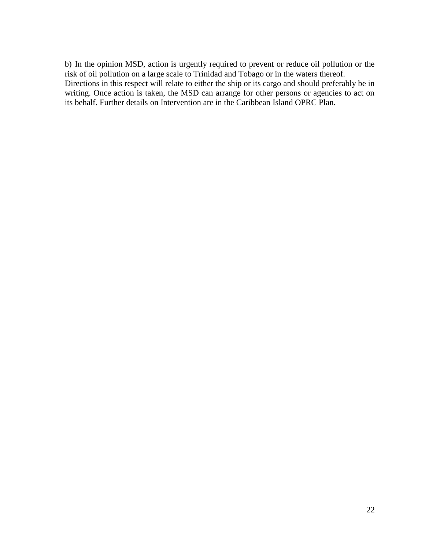b) In the opinion MSD, action is urgently required to prevent or reduce oil pollution or the risk of oil pollution on a large scale to Trinidad and Tobago or in the waters thereof. Directions in this respect will relate to either the ship or its cargo and should preferably be in writing. Once action is taken, the MSD can arrange for other persons or agencies to act on its behalf. Further details on Intervention are in the Caribbean Island OPRC Plan.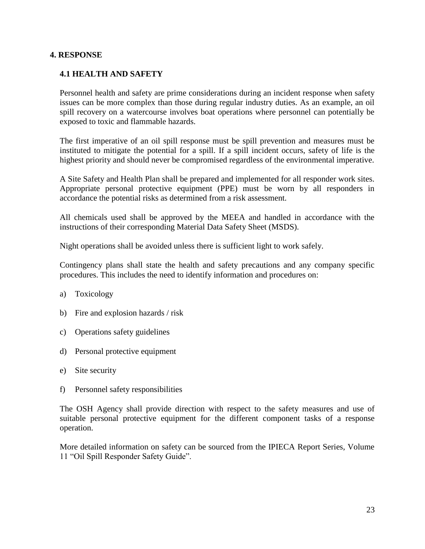#### **4. RESPONSE**

#### **4.1 HEALTH AND SAFETY**

Personnel health and safety are prime considerations during an incident response when safety issues can be more complex than those during regular industry duties. As an example, an oil spill recovery on a watercourse involves boat operations where personnel can potentially be exposed to toxic and flammable hazards.

The first imperative of an oil spill response must be spill prevention and measures must be instituted to mitigate the potential for a spill. If a spill incident occurs, safety of life is the highest priority and should never be compromised regardless of the environmental imperative.

A Site Safety and Health Plan shall be prepared and implemented for all responder work sites. Appropriate personal protective equipment (PPE) must be worn by all responders in accordance the potential risks as determined from a risk assessment.

All chemicals used shall be approved by the MEEA and handled in accordance with the instructions of their corresponding Material Data Safety Sheet (MSDS).

Night operations shall be avoided unless there is sufficient light to work safely.

Contingency plans shall state the health and safety precautions and any company specific procedures. This includes the need to identify information and procedures on:

- a) Toxicology
- b) Fire and explosion hazards / risk
- c) Operations safety guidelines
- d) Personal protective equipment
- e) Site security
- f) Personnel safety responsibilities

The OSH Agency shall provide direction with respect to the safety measures and use of suitable personal protective equipment for the different component tasks of a response operation.

More detailed information on safety can be sourced from the IPIECA Report Series, Volume 11 "Oil Spill Responder Safety Guide".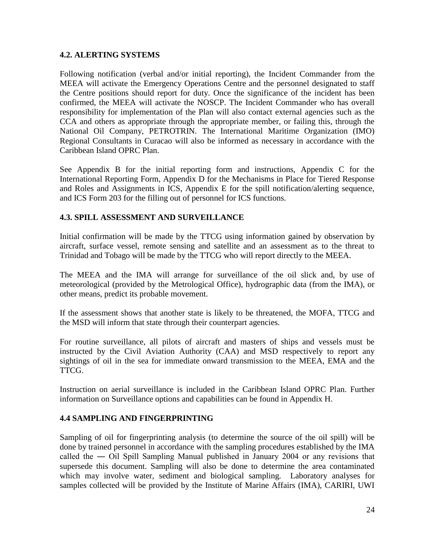## **4.2. ALERTING SYSTEMS**

Following notification (verbal and/or initial reporting), the Incident Commander from the MEEA will activate the Emergency Operations Centre and the personnel designated to staff the Centre positions should report for duty. Once the significance of the incident has been confirmed, the MEEA will activate the NOSCP. The Incident Commander who has overall responsibility for implementation of the Plan will also contact external agencies such as the CCA and others as appropriate through the appropriate member, or failing this, through the National Oil Company, PETROTRIN. The International Maritime Organization (IMO) Regional Consultants in Curacao will also be informed as necessary in accordance with the Caribbean Island OPRC Plan.

See Appendix B for the initial reporting form and instructions, Appendix C for the International Reporting Form, Appendix D for the Mechanisms in Place for Tiered Response and Roles and Assignments in ICS, Appendix E for the spill notification/alerting sequence, and ICS Form 203 for the filling out of personnel for ICS functions.

# **4.3. SPILL ASSESSMENT AND SURVEILLANCE**

Initial confirmation will be made by the TTCG using information gained by observation by aircraft, surface vessel, remote sensing and satellite and an assessment as to the threat to Trinidad and Tobago will be made by the TTCG who will report directly to the MEEA.

The MEEA and the IMA will arrange for surveillance of the oil slick and, by use of meteorological (provided by the Metrological Office), hydrographic data (from the IMA), or other means, predict its probable movement.

If the assessment shows that another state is likely to be threatened, the MOFA, TTCG and the MSD will inform that state through their counterpart agencies.

For routine surveillance, all pilots of aircraft and masters of ships and vessels must be instructed by the Civil Aviation Authority (CAA) and MSD respectively to report any sightings of oil in the sea for immediate onward transmission to the MEEA, EMA and the TTCG.

Instruction on aerial surveillance is included in the Caribbean Island OPRC Plan. Further information on Surveillance options and capabilities can be found in Appendix H.

## **4.4 SAMPLING AND FINGERPRINTING**

Sampling of oil for fingerprinting analysis (to determine the source of the oil spill) will be done by trained personnel in accordance with the sampling procedures established by the IMA called the ― Oil Spill Sampling Manual published in January 2004 or any revisions that supersede this document. Sampling will also be done to determine the area contaminated which may involve water, sediment and biological sampling. Laboratory analyses for samples collected will be provided by the Institute of Marine Affairs (IMA), CARIRI, UWI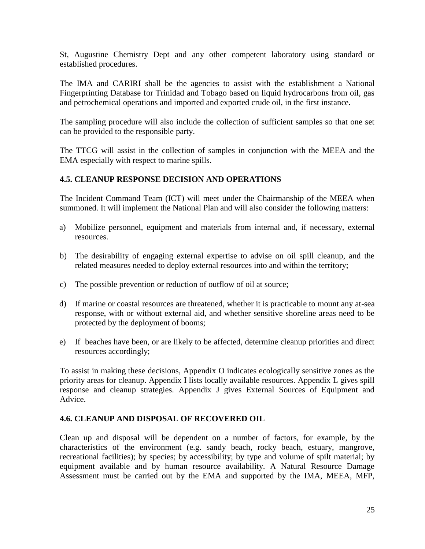St, Augustine Chemistry Dept and any other competent laboratory using standard or established procedures.

The IMA and CARIRI shall be the agencies to assist with the establishment a National Fingerprinting Database for Trinidad and Tobago based on liquid hydrocarbons from oil, gas and petrochemical operations and imported and exported crude oil, in the first instance.

The sampling procedure will also include the collection of sufficient samples so that one set can be provided to the responsible party.

The TTCG will assist in the collection of samples in conjunction with the MEEA and the EMA especially with respect to marine spills.

## **4.5. CLEANUP RESPONSE DECISION AND OPERATIONS**

The Incident Command Team (ICT) will meet under the Chairmanship of the MEEA when summoned. It will implement the National Plan and will also consider the following matters:

- a) Mobilize personnel, equipment and materials from internal and, if necessary, external resources.
- b) The desirability of engaging external expertise to advise on oil spill cleanup, and the related measures needed to deploy external resources into and within the territory;
- c) The possible prevention or reduction of outflow of oil at source;
- d) If marine or coastal resources are threatened, whether it is practicable to mount any at-sea response, with or without external aid, and whether sensitive shoreline areas need to be protected by the deployment of booms;
- e) If beaches have been, or are likely to be affected, determine cleanup priorities and direct resources accordingly;

To assist in making these decisions, Appendix O indicates ecologically sensitive zones as the priority areas for cleanup. Appendix I lists locally available resources. Appendix L gives spill response and cleanup strategies. Appendix J gives External Sources of Equipment and Advice.

## **4.6. CLEANUP AND DISPOSAL OF RECOVERED OIL**

Clean up and disposal will be dependent on a number of factors, for example, by the characteristics of the environment (e.g. sandy beach, rocky beach, estuary, mangrove, recreational facilities); by species; by accessibility; by type and volume of spilt material; by equipment available and by human resource availability. A Natural Resource Damage Assessment must be carried out by the EMA and supported by the IMA, MEEA, MFP,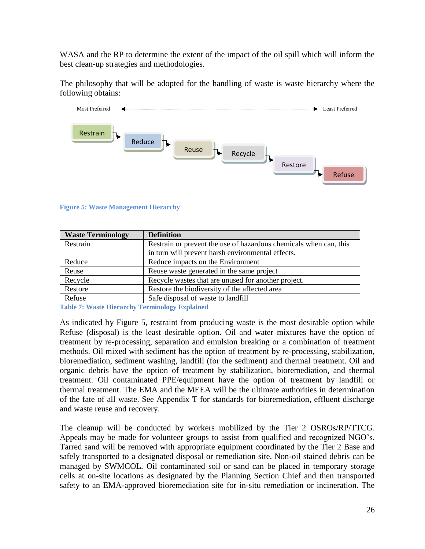WASA and the RP to determine the extent of the impact of the oil spill which will inform the best clean-up strategies and methodologies.

The philosophy that will be adopted for the handling of waste is waste hierarchy where the following obtains:



#### **Figure 5: Waste Management Hierarchy**

| <b>Waste Terminology</b> | <b>Definition</b>                                                 |
|--------------------------|-------------------------------------------------------------------|
| Restrain                 | Restrain or prevent the use of hazardous chemicals when can, this |
|                          | in turn will prevent harsh environmental effects.                 |
| Reduce                   | Reduce impacts on the Environment                                 |
| Reuse                    | Reuse waste generated in the same project                         |
| Recycle                  | Recycle wastes that are unused for another project.               |
| Restore                  | Restore the biodiversity of the affected area                     |
| Refuse                   | Safe disposal of waste to landfill                                |

**Table 7: Waste Hierarchy Terminology Explained**

As indicated by Figure 5, restraint from producing waste is the most desirable option while Refuse (disposal) is the least desirable option. Oil and water mixtures have the option of treatment by re-processing, separation and emulsion breaking or a combination of treatment methods. Oil mixed with sediment has the option of treatment by re-processing, stabilization, bioremediation, sediment washing, landfill (for the sediment) and thermal treatment. Oil and organic debris have the option of treatment by stabilization, bioremediation, and thermal treatment. Oil contaminated PPE/equipment have the option of treatment by landfill or thermal treatment. The EMA and the MEEA will be the ultimate authorities in determination of the fate of all waste. See Appendix T for standards for bioremediation, effluent discharge and waste reuse and recovery.

The cleanup will be conducted by workers mobilized by the Tier 2 OSROs/RP/TTCG. Appeals may be made for volunteer groups to assist from qualified and recognized NGO's. Tarred sand will be removed with appropriate equipment coordinated by the Tier 2 Base and safely transported to a designated disposal or remediation site. Non-oil stained debris can be managed by SWMCOL. Oil contaminated soil or sand can be placed in temporary storage cells at on-site locations as designated by the Planning Section Chief and then transported safety to an EMA-approved bioremediation site for in-situ remediation or incineration. The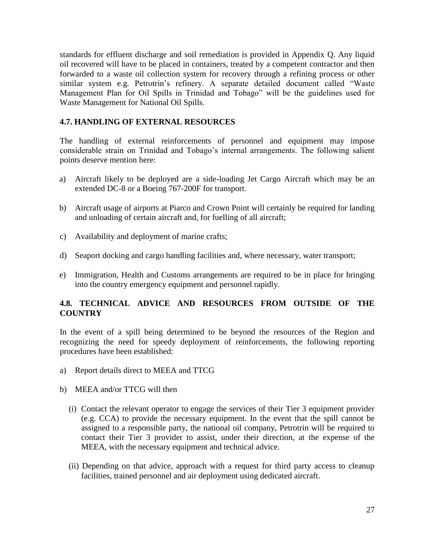standards for effluent discharge and soil remediation is provided in Appendix Q. Any liquid oil recovered will have to be placed in containers, treated by a competent contractor and then forwarded to a waste oil collection system for recovery through a refining process or other similar system e.g. Petrotrin's refinery. A separate detailed document called "Waste Management Plan for Oil Spills in Trinidad and Tobago" will be the guidelines used for Waste Management for National Oil Spills.

## **4.7. HANDLING OF EXTERNAL RESOURCES**

The handling of external reinforcements of personnel and equipment may impose considerable strain on Trinidad and Tobago's internal arrangements. The following salient points deserve mention here:

- a) Aircraft likely to be deployed are a side-loading Jet Cargo Aircraft which may be an extended DC-8 or a Boeing 767-200F for transport.
- b) Aircraft usage of airports at Piarco and Crown Point will certainly be required for landing and unloading of certain aircraft and, for fuelling of all aircraft;
- c) Availability and deployment of marine crafts;
- d) Seaport docking and cargo handling facilities and, where necessary, water transport;
- e) Immigration, Health and Customs arrangements are required to be in place for bringing into the country emergency equipment and personnel rapidly.

# **4.8. TECHNICAL ADVICE AND RESOURCES FROM OUTSIDE OF THE COUNTRY**

In the event of a spill being determined to be beyond the resources of the Region and recognizing the need for speedy deployment of reinforcements, the following reporting procedures have been established:

- a) Report details direct to MEEA and TTCG
- b) MEEA and/or TTCG will then
	- (i) Contact the relevant operator to engage the services of their Tier 3 equipment provider (e.g. CCA) to provide the necessary equipment. In the event that the spill cannot be assigned to a responsible party, the national oil company, Petrotrin will be required to contact their Tier 3 provider to assist, under their direction, at the expense of the MEEA, with the necessary equipment and technical advice.
	- (ii) Depending on that advice, approach with a request for third party access to cleanup facilities, trained personnel and air deployment using dedicated aircraft.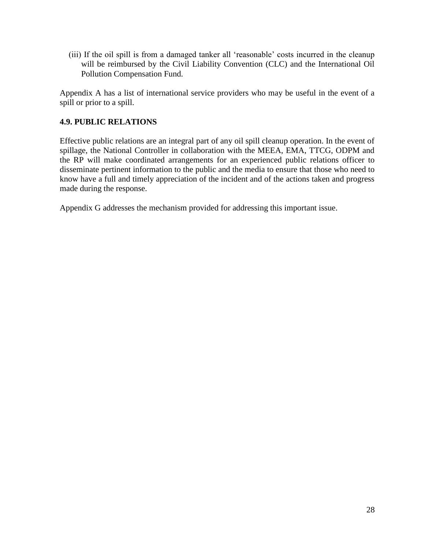(iii) If the oil spill is from a damaged tanker all 'reasonable' costs incurred in the cleanup will be reimbursed by the Civil Liability Convention (CLC) and the International Oil Pollution Compensation Fund.

Appendix A has a list of international service providers who may be useful in the event of a spill or prior to a spill.

# **4.9. PUBLIC RELATIONS**

Effective public relations are an integral part of any oil spill cleanup operation. In the event of spillage, the National Controller in collaboration with the MEEA, EMA, TTCG, ODPM and the RP will make coordinated arrangements for an experienced public relations officer to disseminate pertinent information to the public and the media to ensure that those who need to know have a full and timely appreciation of the incident and of the actions taken and progress made during the response.

Appendix G addresses the mechanism provided for addressing this important issue.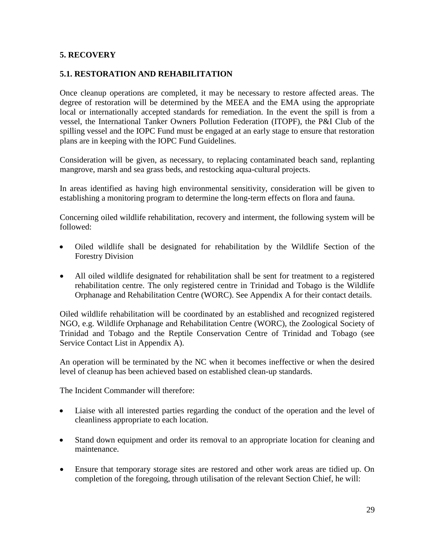## **5. RECOVERY**

#### **5.1. RESTORATION AND REHABILITATION**

Once cleanup operations are completed, it may be necessary to restore affected areas. The degree of restoration will be determined by the MEEA and the EMA using the appropriate local or internationally accepted standards for remediation. In the event the spill is from a vessel, the International Tanker Owners Pollution Federation (ITOPF), the P&I Club of the spilling vessel and the IOPC Fund must be engaged at an early stage to ensure that restoration plans are in keeping with the IOPC Fund Guidelines.

Consideration will be given, as necessary, to replacing contaminated beach sand, replanting mangrove, marsh and sea grass beds, and restocking aqua-cultural projects.

In areas identified as having high environmental sensitivity, consideration will be given to establishing a monitoring program to determine the long-term effects on flora and fauna.

Concerning oiled wildlife rehabilitation, recovery and interment, the following system will be followed:

- Oiled wildlife shall be designated for rehabilitation by the Wildlife Section of the Forestry Division
- All oiled wildlife designated for rehabilitation shall be sent for treatment to a registered rehabilitation centre. The only registered centre in Trinidad and Tobago is the Wildlife Orphanage and Rehabilitation Centre (WORC). See Appendix A for their contact details.

Oiled wildlife rehabilitation will be coordinated by an established and recognized registered NGO, e.g. Wildlife Orphanage and Rehabilitation Centre (WORC), the Zoological Society of Trinidad and Tobago and the Reptile Conservation Centre of Trinidad and Tobago (see Service Contact List in Appendix A).

An operation will be terminated by the NC when it becomes ineffective or when the desired level of cleanup has been achieved based on established clean-up standards.

The Incident Commander will therefore:

- Liaise with all interested parties regarding the conduct of the operation and the level of cleanliness appropriate to each location.
- Stand down equipment and order its removal to an appropriate location for cleaning and maintenance.
- Ensure that temporary storage sites are restored and other work areas are tidied up. On completion of the foregoing, through utilisation of the relevant Section Chief, he will: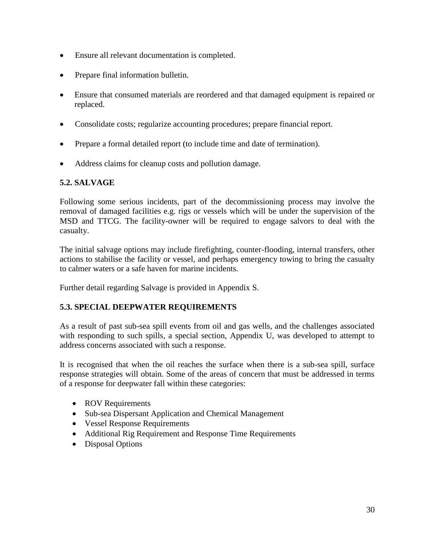- Ensure all relevant documentation is completed.
- Prepare final information bulletin.
- Ensure that consumed materials are reordered and that damaged equipment is repaired or replaced.
- Consolidate costs; regularize accounting procedures; prepare financial report.
- Prepare a formal detailed report (to include time and date of termination).
- Address claims for cleanup costs and pollution damage.

## **5.2. SALVAGE**

Following some serious incidents, part of the decommissioning process may involve the removal of damaged facilities e.g. rigs or vessels which will be under the supervision of the MSD and TTCG. The facility-owner will be required to engage salvors to deal with the casualty.

The initial salvage options may include firefighting, counter-flooding, internal transfers, other actions to stabilise the facility or vessel, and perhaps emergency towing to bring the casualty to calmer waters or a safe haven for marine incidents.

Further detail regarding Salvage is provided in Appendix S.

# **5.3. SPECIAL DEEPWATER REQUIREMENTS**

As a result of past sub-sea spill events from oil and gas wells, and the challenges associated with responding to such spills, a special section, Appendix U, was developed to attempt to address concerns associated with such a response.

It is recognised that when the oil reaches the surface when there is a sub-sea spill, surface response strategies will obtain. Some of the areas of concern that must be addressed in terms of a response for deepwater fall within these categories:

- ROV Requirements
- Sub-sea Dispersant Application and Chemical Management
- Vessel Response Requirements
- Additional Rig Requirement and Response Time Requirements
- Disposal Options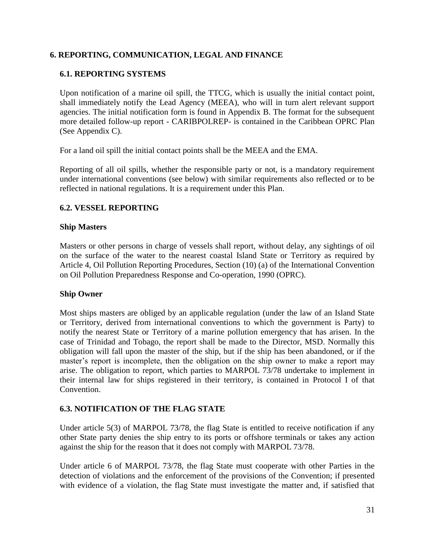# **6. REPORTING, COMMUNICATION, LEGAL AND FINANCE**

## **6.1. REPORTING SYSTEMS**

Upon notification of a marine oil spill, the TTCG, which is usually the initial contact point, shall immediately notify the Lead Agency (MEEA), who will in turn alert relevant support agencies. The initial notification form is found in Appendix B. The format for the subsequent more detailed follow-up report - CARIBPOLREP- is contained in the Caribbean OPRC Plan (See Appendix C).

For a land oil spill the initial contact points shall be the MEEA and the EMA.

Reporting of all oil spills, whether the responsible party or not, is a mandatory requirement under international conventions (see below) with similar requirements also reflected or to be reflected in national regulations. It is a requirement under this Plan.

## **6.2. VESSEL REPORTING**

#### **Ship Masters**

Masters or other persons in charge of vessels shall report, without delay, any sightings of oil on the surface of the water to the nearest coastal Island State or Territory as required by Article 4, Oil Pollution Reporting Procedures, Section (10) (a) of the International Convention on Oil Pollution Preparedness Response and Co-operation, 1990 (OPRC).

## **Ship Owner**

Most ships masters are obliged by an applicable regulation (under the law of an Island State or Territory, derived from international conventions to which the government is Party) to notify the nearest State or Territory of a marine pollution emergency that has arisen. In the case of Trinidad and Tobago, the report shall be made to the Director, MSD. Normally this obligation will fall upon the master of the ship, but if the ship has been abandoned, or if the master's report is incomplete, then the obligation on the ship owner to make a report may arise. The obligation to report, which parties to MARPOL 73/78 undertake to implement in their internal law for ships registered in their territory, is contained in Protocol I of that Convention.

## **6.3. NOTIFICATION OF THE FLAG STATE**

Under article 5(3) of MARPOL 73/78, the flag State is entitled to receive notification if any other State party denies the ship entry to its ports or offshore terminals or takes any action against the ship for the reason that it does not comply with MARPOL 73/78.

Under article 6 of MARPOL 73/78, the flag State must cooperate with other Parties in the detection of violations and the enforcement of the provisions of the Convention; if presented with evidence of a violation, the flag State must investigate the matter and, if satisfied that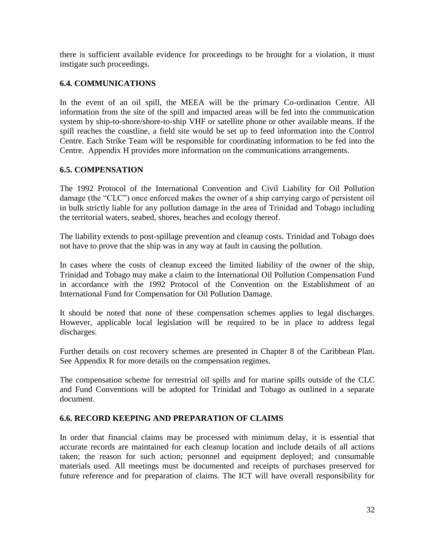there is sufficient available evidence for proceedings to be brought for a violation, it must instigate such proceedings.

## **6.4. COMMUNICATIONS**

In the event of an oil spill, the MEEA will be the primary Co-ordination Centre. All information from the site of the spill and impacted areas will be fed into the communication system by ship-to-shore/shore-to-ship VHF or satellite phone or other available means. If the spill reaches the coastline, a field site would be set up to feed information into the Control Centre. Each Strike Team will be responsible for coordinating information to be fed into the Centre. Appendix H provides more information on the communications arrangements.

#### **6.5. COMPENSATION**

The 1992 Protocol of the International Convention and Civil Liability for Oil Pollution damage (the "CLC") once enforced makes the owner of a ship carrying cargo of persistent oil in bulk strictly liable for any pollution damage in the area of Trinidad and Tobago including the territorial waters, seabed, shores, beaches and ecology thereof.

The liability extends to post-spillage prevention and cleanup costs. Trinidad and Tobago does not have to prove that the ship was in any way at fault in causing the pollution.

In cases where the costs of cleanup exceed the limited liability of the owner of the ship, Trinidad and Tobago may make a claim to the International Oil Pollution Compensation Fund in accordance with the 1992 Protocol of the Convention on the Establishment of an International Fund for Compensation for Oil Pollution Damage.

It should be noted that none of these compensation schemes applies to legal discharges. However, applicable local legislation will be required to be in place to address legal discharges.

Further details on cost recovery schemes are presented in Chapter 8 of the Caribbean Plan. See Appendix R for more details on the compensation regimes.

The compensation scheme for terrestrial oil spills and for marine spills outside of the CLC and Fund Conventions will be adopted for Trinidad and Tobago as outlined in a separate document.

#### **6.6. RECORD KEEPING AND PREPARATION OF CLAIMS**

In order that financial claims may be processed with minimum delay, it is essential that accurate records are maintained for each cleanup location and include details of all actions taken; the reason for such action; personnel and equipment deployed; and consumable materials used. All meetings must be documented and receipts of purchases preserved for future reference and for preparation of claims. The ICT will have overall responsibility for